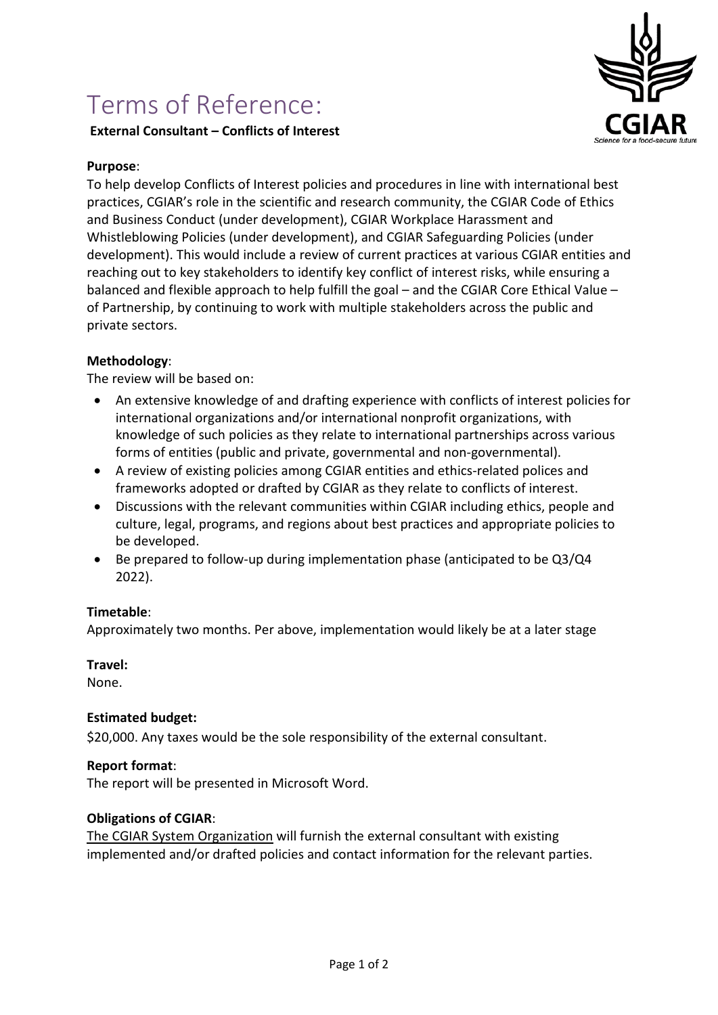# Terms of Reference:

# **External Consultant – Conflicts of Interest**



#### **Purpose**:

To help develop Conflicts of Interest policies and procedures in line with international best practices, CGIAR's role in the scientific and research community, the CGIAR Code of Ethics and Business Conduct (under development), CGIAR Workplace Harassment and Whistleblowing Policies (under development), and CGIAR Safeguarding Policies (under development). This would include a review of current practices at various CGIAR entities and reaching out to key stakeholders to identify key conflict of interest risks, while ensuring a balanced and flexible approach to help fulfill the goal – and the CGIAR Core Ethical Value – of Partnership, by continuing to work with multiple stakeholders across the public and private sectors.

### **Methodology**:

The review will be based on:

- An extensive knowledge of and drafting experience with conflicts of interest policies for international organizations and/or international nonprofit organizations, with knowledge of such policies as they relate to international partnerships across various forms of entities (public and private, governmental and non-governmental).
- A review of existing policies among CGIAR entities and ethics-related polices and frameworks adopted or drafted by CGIAR as they relate to conflicts of interest.
- Discussions with the relevant communities within CGIAR including ethics, people and culture, legal, programs, and regions about best practices and appropriate policies to be developed.
- Be prepared to follow-up during implementation phase (anticipated to be Q3/Q4 2022).

#### **Timetable**:

Approximately two months. Per above, implementation would likely be at a later stage

# **Travel:**

None.

# **Estimated budget:**

\$20,000. Any taxes would be the sole responsibility of the external consultant.

# **Report format**:

The report will be presented in Microsoft Word.

#### **Obligations of CGIAR**:

The CGIAR System Organization will furnish the external consultant with existing implemented and/or drafted policies and contact information for the relevant parties.